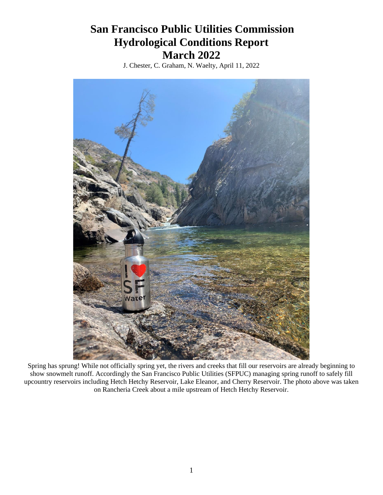# **San Francisco Public Utilities Commission Hydrological Conditions Report March 2022**

J. Chester, C. Graham, N. Waelty, April 11, 2022



Spring has sprung! While not officially spring yet, the rivers and creeks that fill our reservoirs are already beginning to show snowmelt runoff. Accordingly the San Francisco Public Utilities (SFPUC) managing spring runoff to safely fill upcountry reservoirs including Hetch Hetchy Reservoir, Lake Eleanor, and Cherry Reservoir. The photo above was taken on Rancheria Creek about a mile upstream of Hetch Hetchy Reservoir.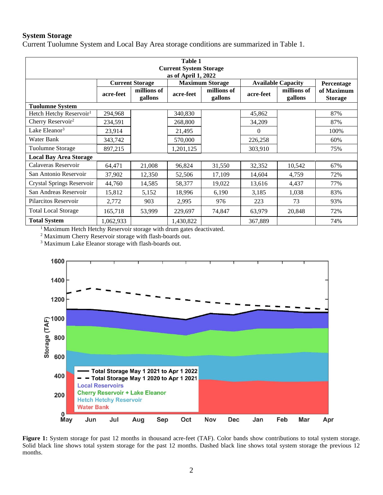# **System Storage**

Current Tuolumne System and Local Bay Area storage conditions are summarized in Table 1.

| Table 1<br><b>Current System Storage</b><br>as of April 1, 2022 |                        |                        |           |                        |                           |                        |                              |
|-----------------------------------------------------------------|------------------------|------------------------|-----------|------------------------|---------------------------|------------------------|------------------------------|
|                                                                 | <b>Current Storage</b> |                        |           | <b>Maximum Storage</b> | <b>Available Capacity</b> |                        | Percentage                   |
|                                                                 | acre-feet              | millions of<br>gallons | acre-feet | millions of<br>gallons | acre-feet                 | millions of<br>gallons | of Maximum<br><b>Storage</b> |
| <b>Tuolumne System</b>                                          |                        |                        |           |                        |                           |                        |                              |
| Hetch Hetchy Reservoir <sup>1</sup>                             | 294,968                |                        | 340,830   |                        | 45,862                    |                        | 87%                          |
| Cherry Reservoir <sup>2</sup>                                   | 234,591                |                        | 268,800   |                        | 34,209                    |                        | 87%                          |
| Lake Eleanor <sup>3</sup>                                       | 23,914                 |                        | 21,495    |                        | $\Omega$                  |                        | 100%                         |
| Water Bank                                                      | 343,742                |                        | 570,000   |                        | 226,258                   |                        | 60%                          |
| Tuolumne Storage                                                | 897,215                |                        | 1,201,125 |                        | 303,910                   |                        | 75%                          |
| <b>Local Bay Area Storage</b>                                   |                        |                        |           |                        |                           |                        |                              |
| Calaveras Reservoir                                             | 64,471                 | 21,008                 | 96,824    | 31,550                 | 32,352                    | 10,542                 | 67%                          |
| San Antonio Reservoir                                           | 37,902                 | 12,350                 | 52,506    | 17,109                 | 14,604                    | 4,759                  | 72%                          |
| Crystal Springs Reservoir                                       | 44,760                 | 14,585                 | 58,377    | 19,022                 | 13,616                    | 4,437                  | 77%                          |
| San Andreas Reservoir                                           | 15,812                 | 5,152                  | 18,996    | 6,190                  | 3,185                     | 1,038                  | 83%                          |
| Pilarcitos Reservoir                                            | 2,772                  | 903                    | 2,995     | 976                    | 223                       | 73                     | 93%                          |
| <b>Total Local Storage</b>                                      | 165,718                | 53,999                 | 229,697   | 74,847                 | 63,979                    | 20,848                 | 72%                          |
| <b>Total System</b>                                             | 1,062,933              |                        | 1,430,822 |                        | 367,889                   |                        | 74%                          |

<sup>1</sup> Maximum Hetch Hetchy Reservoir storage with drum gates deactivated.

<sup>2</sup> Maximum Cherry Reservoir storage with flash-boards out.

<sup>3</sup> Maximum Lake Eleanor storage with flash-boards out.



Figure 1: System storage for past 12 months in thousand acre-feet (TAF). Color bands show contributions to total system storage. Solid black line shows total system storage for the past 12 months. Dashed black line shows total system storage the previous 12 months.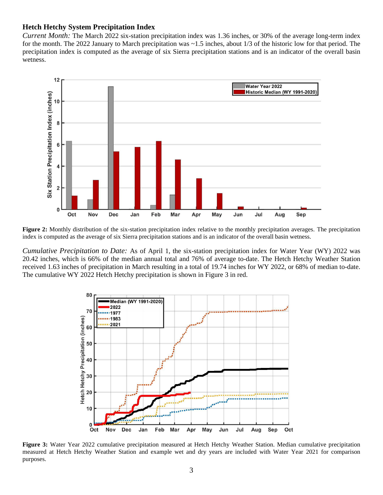#### **Hetch Hetchy System Precipitation Index**

*Current Month:* The March 2022 six-station precipitation index was 1.36 inches, or 30% of the average long-term index for the month. The 2022 January to March precipitation was ~1.5 inches, about 1/3 of the historic low for that period. The precipitation index is computed as the average of six Sierra precipitation stations and is an indicator of the overall basin wetness.



**Figure 2:** Monthly distribution of the six-station precipitation index relative to the monthly precipitation averages. The precipitation index is computed as the average of six Sierra precipitation stations and is an indicator of the overall basin wetness.

*Cumulative Precipitation to Date:* As of April 1, the six-station precipitation index for Water Year (WY) 2022 was 20.42 inches, which is 66% of the median annual total and 76% of average to-date. The Hetch Hetchy Weather Station received 1.63 inches of precipitation in March resulting in a total of 19.74 inches for WY 2022, or 68% of median to-date. The cumulative WY 2022 Hetch Hetchy precipitation is shown in Figure 3 in red.



**Figure 3:** Water Year 2022 cumulative precipitation measured at Hetch Hetchy Weather Station. Median cumulative precipitation measured at Hetch Hetchy Weather Station and example wet and dry years are included with Water Year 2021 for comparison purposes.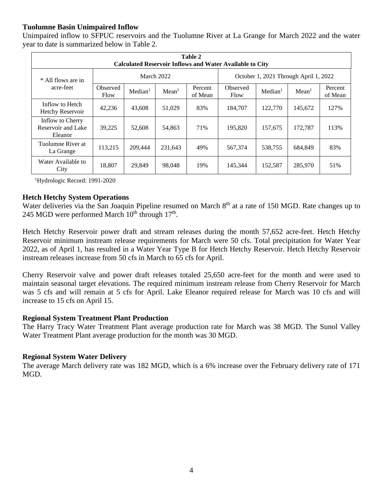# **Tuolumne Basin Unimpaired Inflow**

Unimpaired inflow to SFPUC reservoirs and the Tuolumne River at La Grange for March 2022 and the water year to date is summarized below in Table 2.

| Table 2<br><b>Calculated Reservoir Inflows and Water Available to City</b> |                         |                     |                   |                    |                                       |                     |                   |                    |
|----------------------------------------------------------------------------|-------------------------|---------------------|-------------------|--------------------|---------------------------------------|---------------------|-------------------|--------------------|
| * All flows are in<br>acre-feet                                            |                         |                     | March 2022        |                    | October 1, 2021 Through April 1, 2022 |                     |                   |                    |
|                                                                            | <b>Observed</b><br>Flow | Median <sup>1</sup> | Mean <sup>1</sup> | Percent<br>of Mean | Observed<br>Flow                      | Median <sup>1</sup> | Mean <sup>1</sup> | Percent<br>of Mean |
| Inflow to Hetch<br>Hetchy Reservoir                                        | 42,236                  | 43,608              | 51,029            | 83%                | 184,707                               | 122,770             | 145,672           | 127%               |
| Inflow to Cherry<br>Reservoir and Lake<br>Eleanor                          | 39,225                  | 52,608              | 54,863            | 71%                | 195,820                               | 157,675             | 172,787           | 113%               |
| Tuolumne River at<br>La Grange                                             | 113,215                 | 209,444             | 231,643           | 49%                | 567,374                               | 538,755             | 684,849           | 83%                |
| Water Available to<br>City                                                 | 18,807                  | 29,849              | 98,048            | 19%                | 145,344                               | 152,587             | 285,970           | 51%                |

<sup>1</sup>Hydrologic Record: 1991-2020

## **Hetch Hetchy System Operations**

Water deliveries via the San Joaquin Pipeline resumed on March 8<sup>th</sup> at a rate of 150 MGD. Rate changes up to 245 MGD were performed March  $10^{th}$  through  $17^{th}$ .

Hetch Hetchy Reservoir power draft and stream releases during the month 57,652 acre-feet. Hetch Hetchy Reservoir minimum instream release requirements for March were 50 cfs. Total precipitation for Water Year 2022, as of April 1, has resulted in a Water Year Type B for Hetch Hetchy Reservoir. Hetch Hetchy Reservoir instream releases increase from 50 cfs in March to 65 cfs for April.

Cherry Reservoir valve and power draft releases totaled 25,650 acre-feet for the month and were used to maintain seasonal target elevations. The required minimum instream release from Cherry Reservoir for March was 5 cfs and will remain at 5 cfs for April. Lake Eleanor required release for March was 10 cfs and will increase to 15 cfs on April 15.

## **Regional System Treatment Plant Production**

The Harry Tracy Water Treatment Plant average production rate for March was 38 MGD. The Sunol Valley Water Treatment Plant average production for the month was 30 MGD.

## **Regional System Water Delivery**

The average March delivery rate was 182 MGD, which is a 6% increase over the February delivery rate of 171 MGD.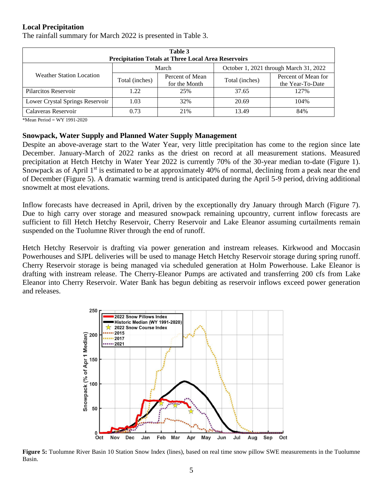# **Local Precipitation**

| Table 3<br><b>Precipitation Totals at Three Local Area Reservoirs</b> |                |                                  |                                        |                                         |  |  |  |  |
|-----------------------------------------------------------------------|----------------|----------------------------------|----------------------------------------|-----------------------------------------|--|--|--|--|
|                                                                       |                | March                            | October 1, 2021 through March 31, 2022 |                                         |  |  |  |  |
| <b>Weather Station Location</b>                                       | Total (inches) | Percent of Mean<br>for the Month | Total (inches)                         | Percent of Mean for<br>the Year-To-Date |  |  |  |  |
| Pilarcitos Reservoir                                                  | 122            | 25%                              | 37.65                                  | 127%                                    |  |  |  |  |
| Lower Crystal Springs Reservoir                                       | 1.03           | 32%                              | 20.69                                  | 104%                                    |  |  |  |  |
| Calaveras Reservoir                                                   | 0.73           | 21\%                             | 13.49                                  | 84%                                     |  |  |  |  |

The rainfall summary for March 2022 is presented in Table 3.

\*Mean Period = WY 1991-2020

#### **Snowpack, Water Supply and Planned Water Supply Management**

Despite an above-average start to the Water Year, very little precipitation has come to the region since late December. January-March of 2022 ranks as the driest on record at all measurement stations. Measured precipitation at Hetch Hetchy in Water Year 2022 is currently 70% of the 30-year median to-date (Figure 1). Snowpack as of April 1<sup>st</sup> is estimated to be at approximately 40% of normal, declining from a peak near the end of December (Figure 5). A dramatic warming trend is anticipated during the April 5-9 period, driving additional snowmelt at most elevations.

Inflow forecasts have decreased in April, driven by the exceptionally dry January through March (Figure 7). Due to high carry over storage and measured snowpack remaining upcountry, current inflow forecasts are sufficient to fill Hetch Hetchy Reservoir, Cherry Reservoir and Lake Eleanor assuming curtailments remain suspended on the Tuolumne River through the end of runoff.

Hetch Hetchy Reservoir is drafting via power generation and instream releases. Kirkwood and Moccasin Powerhouses and SJPL deliveries will be used to manage Hetch Hetchy Reservoir storage during spring runoff. Cherry Reservoir storage is being managed via scheduled generation at Holm Powerhouse. Lake Eleanor is drafting with instream release. The Cherry-Eleanor Pumps are activated and transferring 200 cfs from Lake Eleanor into Cherry Reservoir. Water Bank has begun debiting as reservoir inflows exceed power generation and releases.



**Figure 5:** Tuolumne River Basin 10 Station Snow Index (lines), based on real time snow pillow SWE measurements in the Tuolumne Basin.